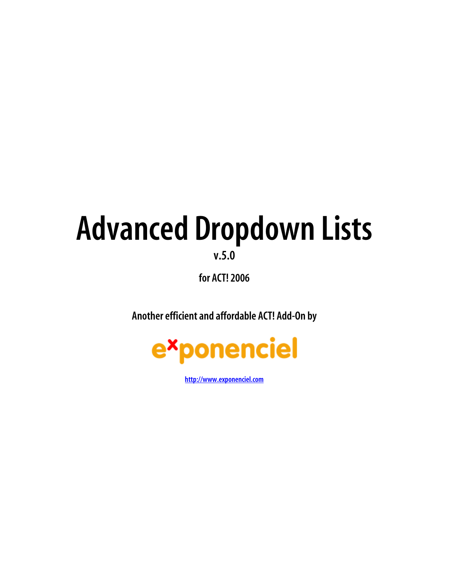# **Advanced Dropdown Lists**

**v.5.0**

**for ACT! 2006** 

**Another efficient and affordable ACT! Add-On by** 



**[http://www.exponenciel.com](http://www.exponenciel.com/)**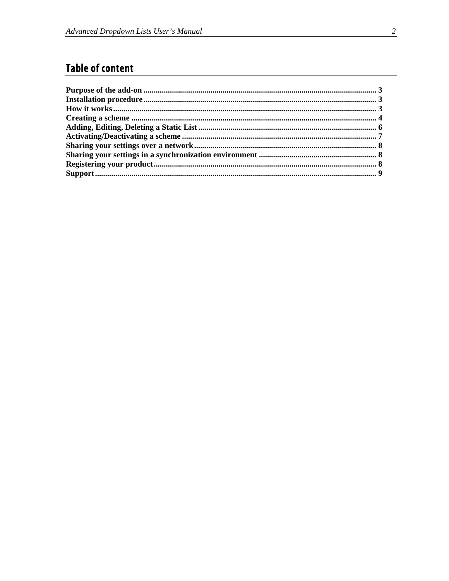# **Table of content**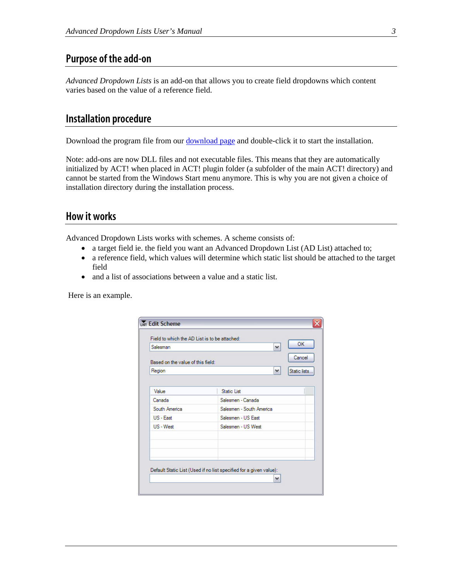## <span id="page-2-0"></span>**Purpose of the add-on**

*Advanced Dropdown Lists* is an add-on that allows you to create field dropdowns which content varies based on the value of a reference field.

#### **Installation procedure**

Download the program file from our [download page](http://www.exponenciel.com/download2005) and double-click it to start the installation.

Note: add-ons are now DLL files and not executable files. This means that they are automatically initialized by ACT! when placed in ACT! plugin folder (a subfolder of the main ACT! directory) and cannot be started from the Windows Start menu anymore. This is why you are not given a choice of installation directory during the installation process.

#### **How it works**

Advanced Dropdown Lists works with schemes. A scheme consists of:

- a target field ie. the field you want an Advanced Dropdown List (AD List) attached to;
- a reference field, which values will determine which static list should be attached to the target field
- and a list of associations between a value and a static list.

Here is an example.

| Salesman                          | OK<br>$\checkmark$       |
|-----------------------------------|--------------------------|
| Based on the value of this field: | Cancel                   |
| Region                            | ٧<br>Static lists.       |
|                                   |                          |
| Value                             | <b>Static List</b>       |
| Canada                            | Salesmen - Canada        |
| South America                     | Salesmen - South America |
| $US - Fast$                       | Salesmen - US East       |
| U.S - West                        | Salesmen - US West       |
|                                   |                          |
|                                   |                          |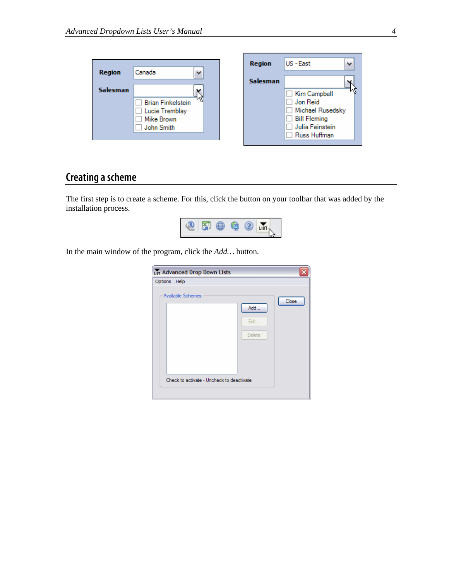<span id="page-3-0"></span>

|                 |                          | <b>Region</b>   | US - East           |
|-----------------|--------------------------|-----------------|---------------------|
| <b>Region</b>   | Canada<br>$\checkmark$   |                 |                     |
|                 |                          | <b>Salesman</b> |                     |
| <b>Salesman</b> |                          |                 | Kim Campbell        |
|                 | <b>Brian Finkelstein</b> |                 | Jon Reid            |
|                 | Lucie Tremblay           |                 | Michael Rusedsky    |
|                 | Mike Brown               |                 | <b>Bill Fleming</b> |
|                 | John Smith               |                 | Julia Feinstein     |
|                 |                          |                 | Russ Huffman        |
|                 |                          |                 |                     |

Г

## **Creating ascheme**

The first step is to create a scheme. For this, click the button on your toolbar that was added by the installation process.



In the main window of the program , click the *Add…* button.

| LIST Advanced Drop Down Lists                                   |                        |       |
|-----------------------------------------------------------------|------------------------|-------|
| Options Help                                                    |                        |       |
| Available Schemes:<br>Check to activate - Uncheck to deactivate | Add.<br>Edit<br>Delete | Close |

٦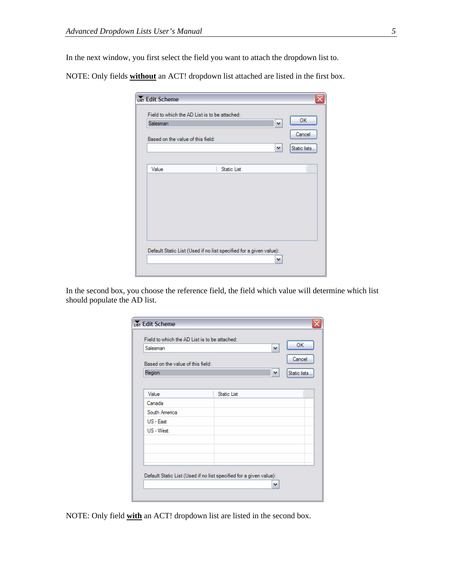In the next window, you first select the field you want to attach the dropdown list to.

NOTE: Only fields **without** an ACT! dropdown list attached are listed in the first box.

| Salesman                          |                    | <b>OK</b><br>$\checkmark$ |
|-----------------------------------|--------------------|---------------------------|
| Based on the value of this field: |                    | Cancel                    |
|                                   |                    | $\vee$<br>Static lists.   |
|                                   |                    |                           |
| Value                             | <b>Static List</b> |                           |
|                                   |                    |                           |
|                                   |                    |                           |
|                                   |                    |                           |
|                                   |                    |                           |
|                                   |                    |                           |
|                                   |                    |                           |
|                                   |                    |                           |
|                                   |                    |                           |

In the second box, you choose the reference field, the field which value will determine which list should populate the AD list.

| Salesman                          | OK<br>$\checkmark$<br>Cancel  |
|-----------------------------------|-------------------------------|
| Based on the value of this field: |                               |
| Region                            | $\checkmark$<br>Static lists. |
|                                   |                               |
| Value                             | <b>Static List</b>            |
| Canada                            |                               |
| South America                     |                               |
| US - East                         |                               |
| US - West                         |                               |
|                                   |                               |
|                                   |                               |
|                                   |                               |
|                                   |                               |

NOTE: Only field **with** an ACT! dropdown list are listed in the second box.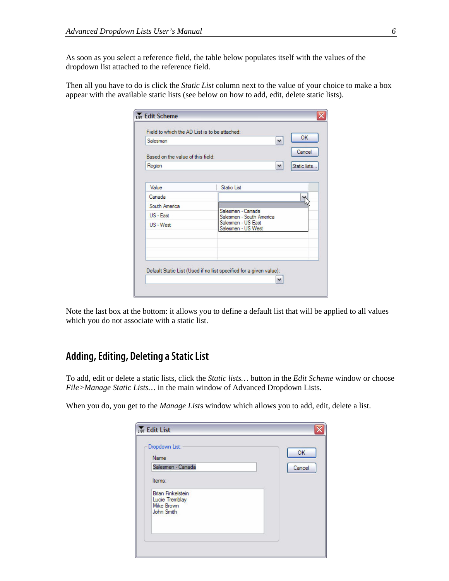<span id="page-5-0"></span>As soon as you select a reference field, the table below populates itself with the values of the dropdown list attached to the reference field.

Then all you have to do is click the *Static List* column next to the value of your choice to make a box appear with the available static lists (see below on how to add, edit, delete static lists).

| Salesman                          | OK.<br>$\checkmark$                                                |  |
|-----------------------------------|--------------------------------------------------------------------|--|
| Based on the value of this field: | Cancel                                                             |  |
| Region                            | $\blacktriangledown$<br>Static lists                               |  |
|                                   |                                                                    |  |
| Value                             | <b>Static List</b>                                                 |  |
| Canada                            |                                                                    |  |
| South America                     |                                                                    |  |
| US - East                         | Salesmen - Canada<br>Salesmen - South America                      |  |
| US - West                         | Salesmen - US East<br>Salesmen - US West                           |  |
|                                   |                                                                    |  |
|                                   | Default Static List (Used if no list specified for a given value): |  |

Note the last box at the bottom: it allows you to define a default list that will be applied to all values which you do not associate with a static list.

## **Adding, Editing, Deleting a Static List**

To add, edit or delete a static lists, click the *Static lists…* button in the *Edit Scheme* window or choose *File>Manage Static Lists…* in the main window of Advanced Dropdown Lists.

When you do, you get to the *Manage List*s window which allows you to add, edit, delete a list.

| Dropdown List:<br>Name                                                        | OK     |
|-------------------------------------------------------------------------------|--------|
| Salesmen - Canada                                                             | Cancel |
| Items:                                                                        |        |
| <b>Brian Finkelstein</b><br>Lucie Tremblay<br><b>Mike Brown</b><br>John Smith |        |
|                                                                               |        |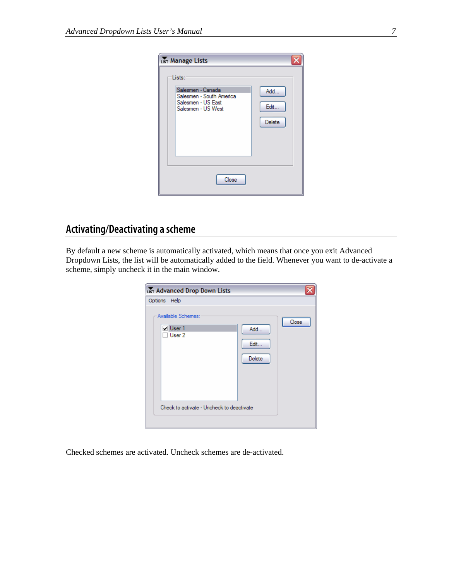<span id="page-6-0"></span>

| LIST Manage Lists                                                                                   |                        |
|-----------------------------------------------------------------------------------------------------|------------------------|
| Lists:<br>Salesmen - Canada<br>Salesmen - South America<br>Salesmen - US East<br>Salesmen - US West | Add<br>Edit.<br>Delete |
| Close                                                                                               |                        |

## **Activating/Deactivating a scheme**

By default a new scheme is automatically activated, which means that once you exit Advanced Dropdown Lists, the list will be automatically added to the field. Whenever you want to de-activate a scheme, simply uncheck it in the main window.

|              | LIST Advanced Drop Down Lists                                                         |                        |       |
|--------------|---------------------------------------------------------------------------------------|------------------------|-------|
| Options Help | Available Schemes:<br>V User 1<br>User 2<br>Check to activate - Uncheck to deactivate | Add<br>Edit.<br>Delete | Close |
|              |                                                                                       |                        |       |

Checked schemes are activated. Uncheck schemes are de-activated.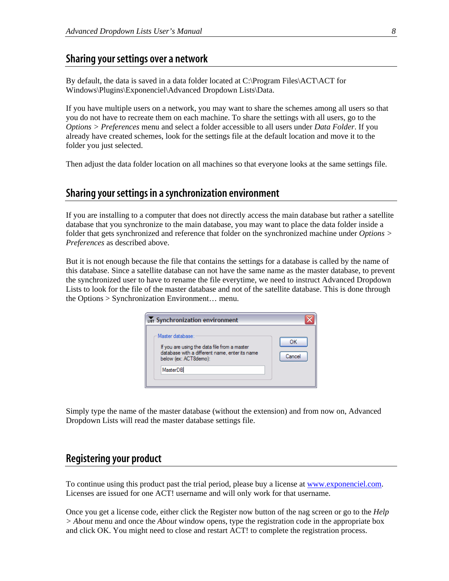#### <span id="page-7-0"></span>**Sharing your settings over a network**

By default, the data is saved in a data folder located at C:\Program Files\ACT\ACT for Windows\Plugins\Exponenciel\Advanced Dropdown Lists\Data.

If you have multiple users on a network, you may want to share the schemes among all users so that you do not have to recreate them on each machine. To share the settings with all users, go to the *Options > Preferences* menu and select a folder accessible to all users under *Data Folder*. If you already have created schemes, look for the settings file at the default location and move it to the folder you just selected.

Then adjust the data folder location on all machines so that everyone looks at the same settings file.

#### **Sharing your settings in a synchronization environment**

If you are installing to a computer that does not directly access the main database but rather a satellite database that you synchronize to the main database, you may want to place the data folder inside a folder that gets synchronized and reference that folder on the synchronized machine under *Options > Preferences* as described above.

But it is not enough because the file that contains the settings for a database is called by the name of this database. Since a satellite database can not have the same name as the master database, to prevent the synchronized user to have to rename the file everytime, we need to instruct Advanced Dropdown Lists to look for the file of the master database and not of the satellite database. This is done through the Options > Synchronization Environment… menu.

| LIST Synchronization environment                                                                                                                        |              |
|---------------------------------------------------------------------------------------------------------------------------------------------------------|--------------|
| Master database:<br>If you are using the data file from a master<br>database with a different name, enter its name<br>below (ex: ACT8demo):<br>MasterDB | ОΚ<br>Cancel |

Simply type the name of the master database (without the extension) and from now on, Advanced Dropdown Lists will read the master database settings file.

### **Registering your product**

To continue using this product past the trial period, please buy a license at [www.exponenciel.com](http://www.exponenciel.com/). Licenses are issued for one ACT! username and will only work for that username.

Once you get a license code, either click the Register now button of the nag screen or go to the *Help > About* menu and once the *About* window opens, type the registration code in the appropriate box and click OK. You might need to close and restart ACT! to complete the registration process.